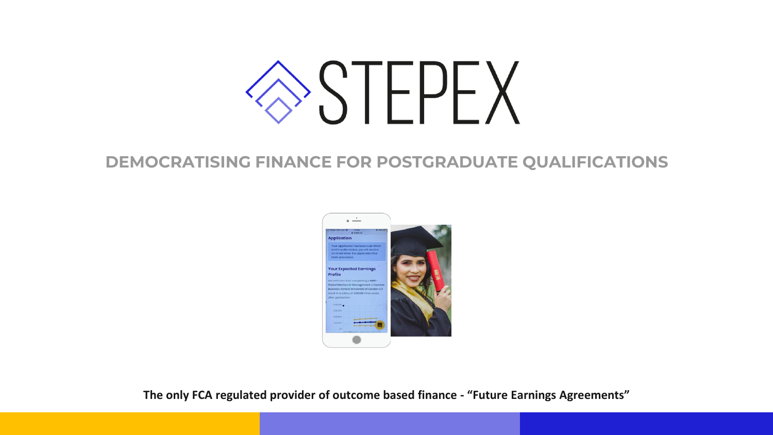# $\sum$

## **DEMOCRATISING FINANCE FOR POSTGRADUATE QUALIFICATIONS**



**The only FCA regulated provider of outcome based finance - "Future Earnings Agreements"**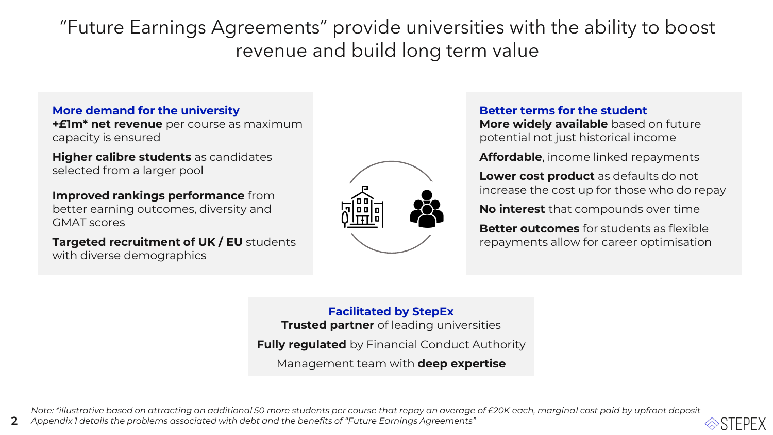"Future Earnings Agreements" provide universities with the ability to boost revenue and build long term value

### **More demand for the university**

**+£1m\* net revenue** per course as maximum capacity is ensured

**Higher calibre students** as candidates selected from a larger pool

**Improved rankings performance** from better earning outcomes, diversity and GMAT scores

2

**Targeted recruitment of UK / EU** students with diverse demographics



#### **Better terms for the student**

**More widely available** based on future potential not just historical income

**Affordable**, income linked repayments

**Lower cost product** as defaults do not increase the cost up for those who do repay

**No interest** that compounds over time

**Better outcomes** for students as flexible repayments allow for career optimisation

**Facilitated by StepEx Trusted partner** of leading universities

**Fully regulated** by Financial Conduct Authority

Management team with **deep expertise**

*Note: \*illustrative based on attracting an additional 50 more students per course that repay an average of £20K each, marginal cost paid by upfront deposit Appendix 1 details the problems associated with debt and the benefits of "Future Earnings Agreements"*



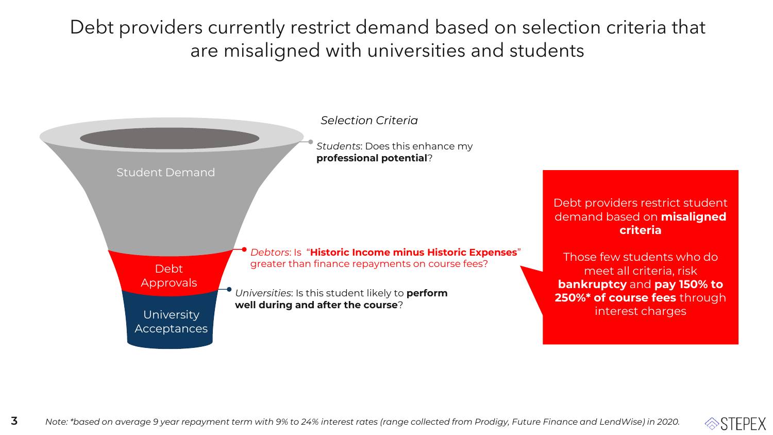Debt providers currently restrict demand based on selection criteria that are misaligned with universities and students



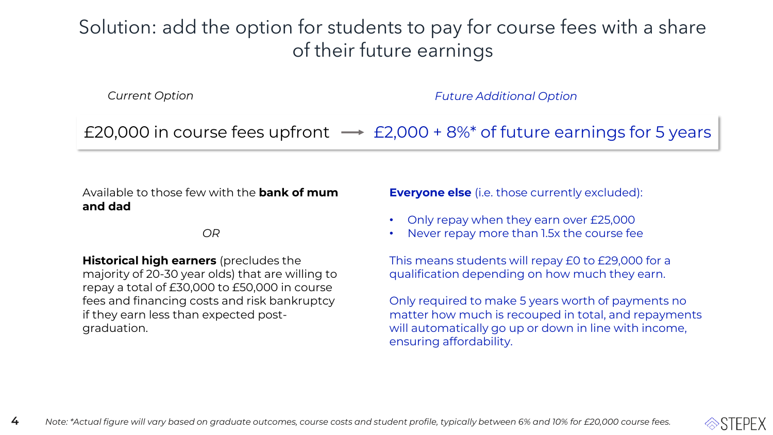## Solution: add the option for students to pay for course fees with a share of their future earnings

*Current Option Future Additional Option*

£20,000 in course fees upfront  $\rightarrow$  £2,000 + 8%\* of future earnings for 5 years

Available to those few with the **bank of mum and dad**

*OR*

**Historical high earners** (precludes the majority of 20-30 year olds) that are willing to repay a total of £30,000 to £50,000 in course fees and financing costs and risk bankruptcy if they earn less than expected postgraduation.

**Everyone else** (i.e. those currently excluded):

- Only repay when they earn over £25,000
- Never repay more than 1.5x the course fee

This means students will repay £0 to £29,000 for a qualification depending on how much they earn.

Only required to make 5 years worth of payments no matter how much is recouped in total, and repayments will automatically go up or down in line with income, ensuring affordability.

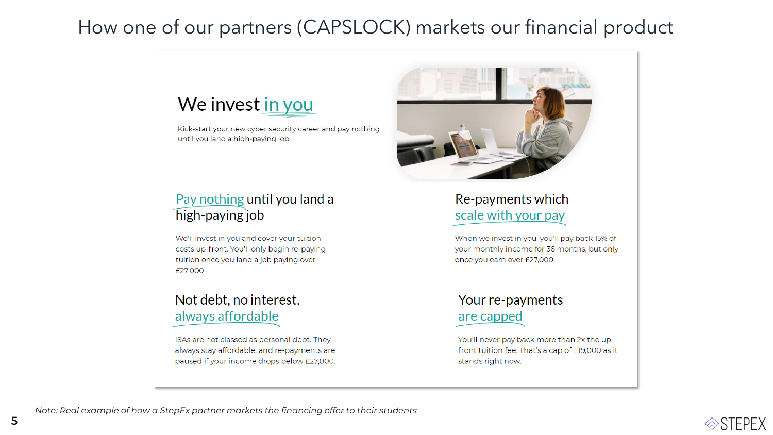## How one of our partners (CAPSLOCK) markets our financial product



Kick-start your new cyber security career and pay nothing until you land a high-paying job.



## Pay nothing until you land a high-paying job

We'll invest in you and cover your tuition costs up-front. You'll only begin re-paying tuition once you land a job paying over £27,000

## Not debt, no interest, always affordable

ISAs are not classed as personal debt. They always stay affordable, and re-payments are paused if your income drops below £27,000.

## Re-payments which scale with your pay

When we invest in you, you'll pay back 15% of your monthly income for 36 months, but only once you earn over £27,000

## Your re-payments are capped

You'll never pay back more than 2x the upfront tuition fee. That's a cap of £19,000 as it stands right now.

5

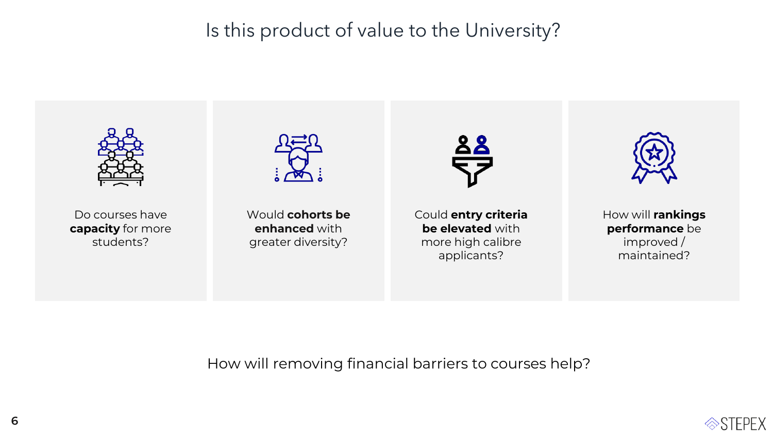Is this product of value to the University?



How will removing financial barriers to courses help?

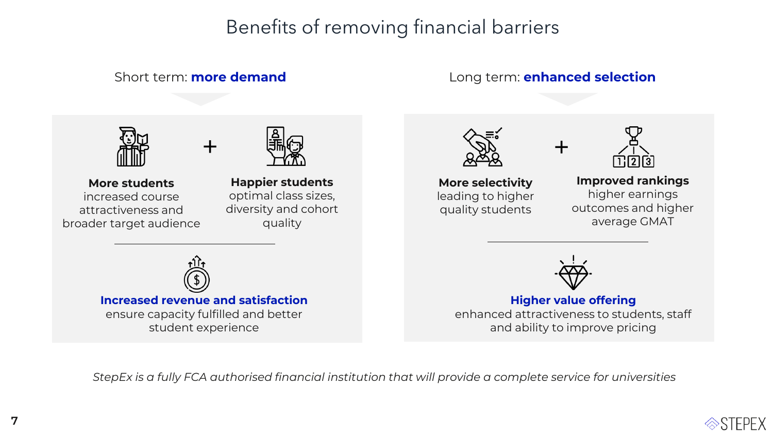## Benefits of removing financial barriers

+

**Increased revenue and satisfaction**  ensure capacity fulfilled and better student experience

## Short term: **more demand** Long term: **enhanced selection**

+



**More students** increased course attractiveness and broader target audience



**Happier students**  optimal class sizes, diversity and cohort quality



**More selectivity**  leading to higher quality students



**Improved rankings** higher earnings outcomes and higher average GMAT



**Higher value offering** enhanced attractiveness to students, staff and ability to improve pricing

*StepEx is a fully FCA authorised financial institution that will provide a complete service for universities*

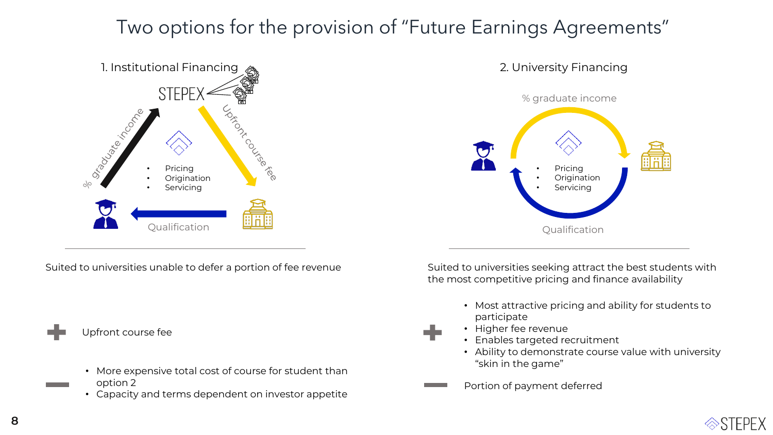## Two options for the provision of "Future Earnings Agreements"





Suited to universities unable to defer a portion of fee revenue

Upfront course fee

- More expensive total cost of course for student than option 2
- Capacity and terms dependent on investor appetite

Suited to universities seeking attract the best students with the most competitive pricing and finance availability

- Most attractive pricing and ability for students to participate
- Higher fee revenue
- Enables targeted recruitment
- Ability to demonstrate course value with university "skin in the game"
- Portion of payment deferred

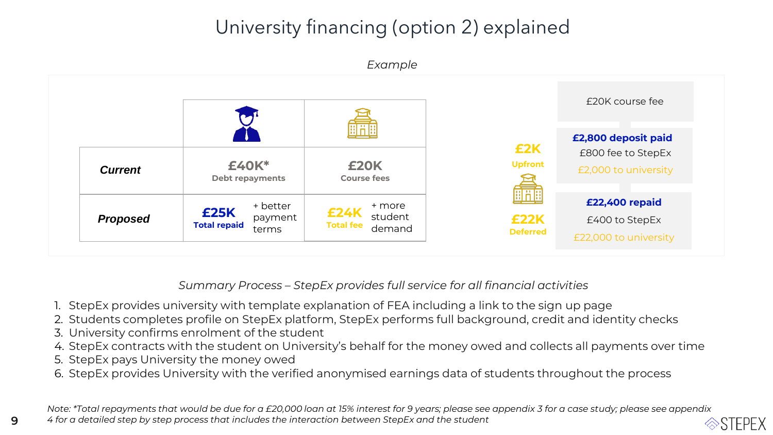## University financing (option 2) explained



*Summary Process – StepEx provides full service for all financial activities* 

- 1. StepEx provides university with template explanation of FEA including a link to the sign up page
- 2. Students completes profile on StepEx platform, StepEx performs full background, credit and identity checks
- 3. University confirms enrolment of the student
- 4. StepEx contracts with the student on University's behalf for the money owed and collects all payments over time
- 5. StepEx pays University the money owed
- 6. StepEx provides University with the verified anonymised earnings data of students throughout the process

*Note: \*Total repayments that would be due for a £20,000 loan at 15% interest for 9 years; please see appendix 3 for a case study; please see appendix 4 for a detailed step by step process that includes the interaction between StepEx and the student*  $\otimes$ SIFPFX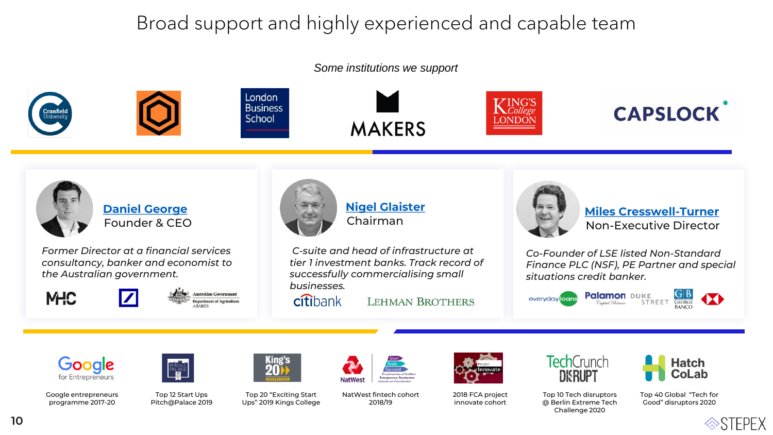## Broad support and highly experienced and capable team

#### *Some institutions we support*





**Business** 









**[Daniel George](https://www.linkedin.com/in/danfgeorge/?originalSubdomain=uk)** Founder & CEO

*Former Director at a financial services consultancy, banker and economist to the Australian government.*



**Australian Government** epartment of Agricultur



## **[Nigel Glaister](https://www.linkedin.com/in/nigel-glaister-b197115/)** Chairman

*C-suite and head of infrastructure at tier 1 investment banks. Track record of successfully commercialising small businesses.*

citibank

**LEHMAN BROTHERS** 



**[Miles Cresswell-Turner](https://www.linkedin.com/in/miles-cresswell-turner-9582aa28/)** Non-Executive Director

*Co-Founder of LSE listed Non-Standard Finance PLC (NSF), PE Partner and special situations credit banker.* 

**Palamon** DUKE everyday loans





Google entrepreneurs programme 2017-20



Top 12 Start Ups Pitch@Palace 2019



Top 20 "Exciting Start Ups" 2019 Kings College NatWest fintech cohort 2018/19



2018 FCA project innovate cohort



Top 10 Tech disruptors @ Berlin Extreme Tech Challenge 2020

Top 40 Global "Tech for Good" disruptors 2020

**Hatch** 

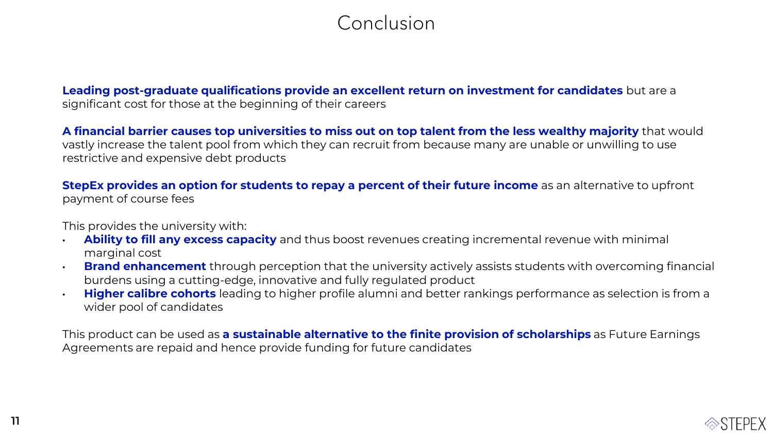## Conclusion

**Leading post-graduate qualifications provide an excellent return on investment for candidates** but are a significant cost for those at the beginning of their careers

**A financial barrier causes top universities to miss out on top talent from the less wealthy majority** that would vastly increase the talent pool from which they can recruit from because many are unable or unwilling to use restrictive and expensive debt products

**StepEx provides an option for students to repay a percent of their future income** as an alternative to upfront payment of course fees

This provides the university with:

- **Ability to fill any excess capacity** and thus boost revenues creating incremental revenue with minimal marginal cost
- **Brand enhancement** through perception that the university actively assists students with overcoming financial burdens using a cutting-edge, innovative and fully regulated product
- **Higher calibre cohorts** leading to higher profile alumni and better rankings performance as selection is from a wider pool of candidates

This product can be used as **a sustainable alternative to the finite provision of scholarships** as Future Earnings Agreements are repaid and hence provide funding for future candidates

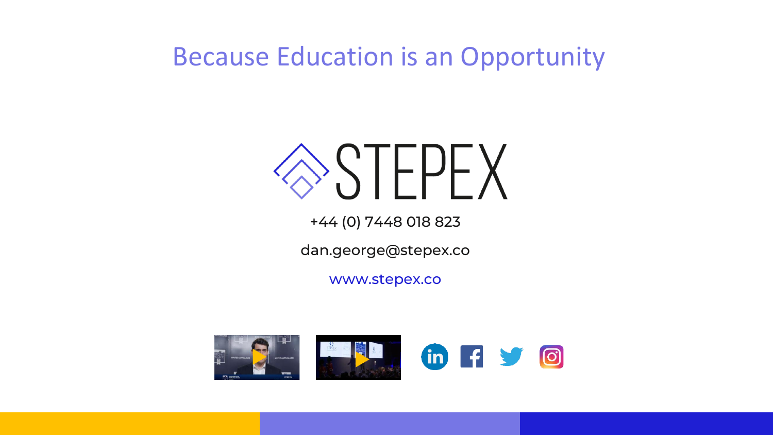# Because Education is an Opportunity

# $>\mathcal{S}$  IFFFX

+44 (0) 7448 018 823

dan.george@stepex.co

www.stepex.co

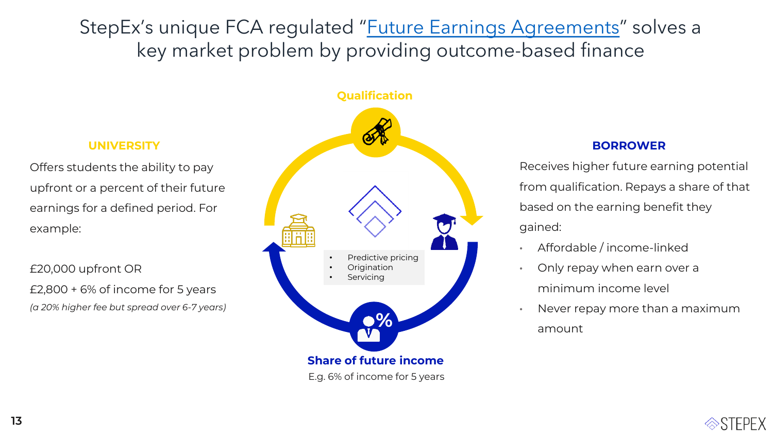StepEx's unique FCA regulated "[Future Earnings Agreements](#page-13-0)" solves a key market problem by providing outcome-based finance

Offers students the ability to pay upfront or a percent of their future earnings for a defined period. For example:

£20,000 upfront OR £2,800 + 6% of income for 5 years *(a 20% higher fee but spread over 6-7 years)*



Receives higher future earning potential from qualification. Repays a share of that based on the earning benefit they gained:

- Affordable / income-linked
- Only repay when earn over a minimum income level
- Never repay more than a maximum amount

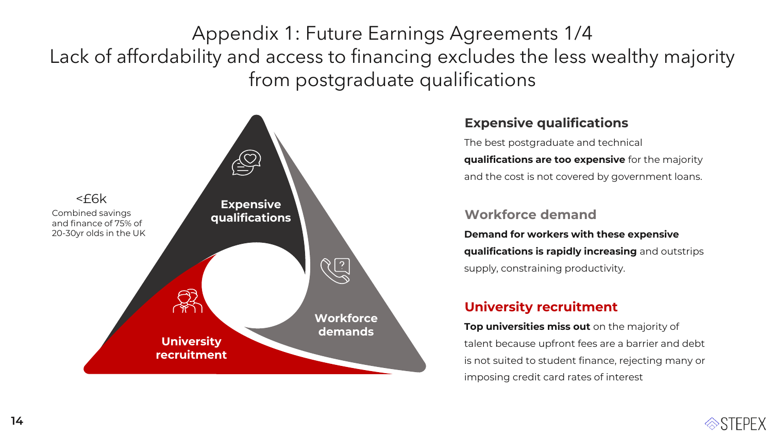<span id="page-13-0"></span>Appendix 1: Future Earnings Agreements 1/4 Lack of affordability and access to financing excludes the less wealthy majority from postgraduate qualifications



## **Expensive qualifications**

The best postgraduate and technical **qualifications are too expensive** for the majority and the cost is not covered by government loans.

## **Workforce demand**

**Demand for workers with these expensive qualifications is rapidly increasing** and outstrips supply, constraining productivity.

## **University recruitment**

**Top universities miss out** on the majority of talent because upfront fees are a barrier and debt is not suited to student finance, rejecting many or imposing credit card rates of interest

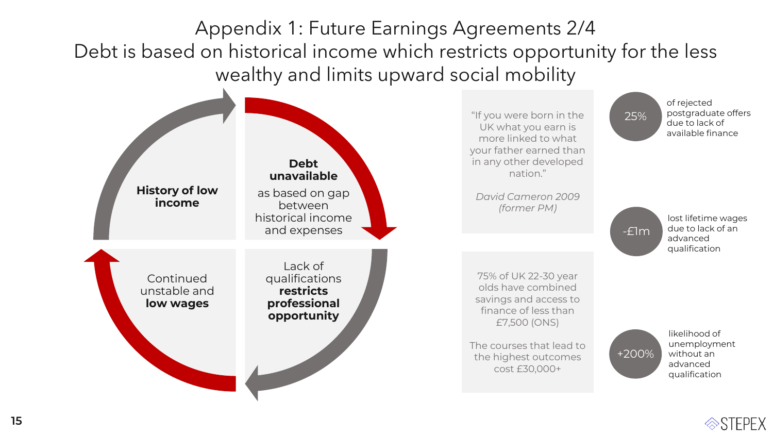Appendix 1: Future Earnings Agreements 2/4 Debt is based on historical income which restricts opportunity for the less wealthy and limits upward social mobility



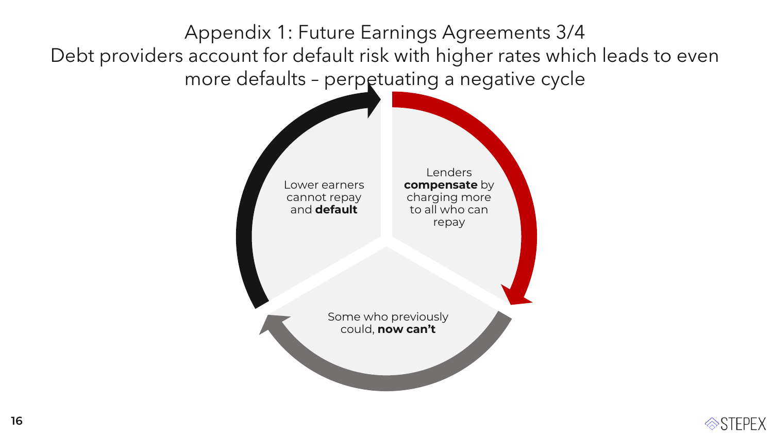Appendix 1: Future Earnings Agreements 3/4 Debt providers account for default risk with higher rates which leads to even more defaults – perpetuating a negative cycle



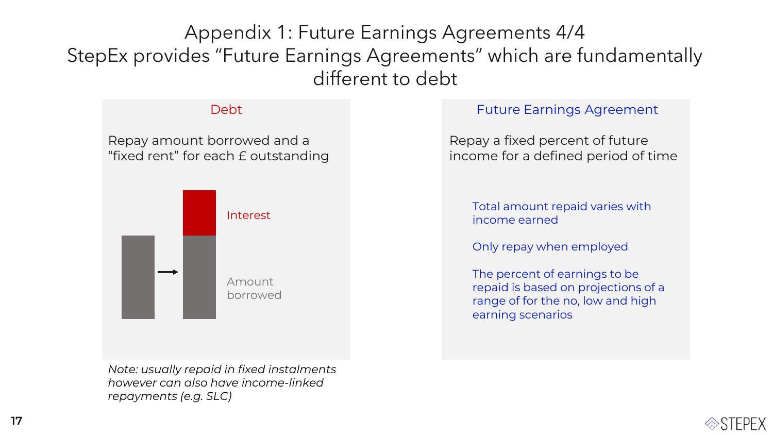Appendix 1: Future Earnings Agreements 4/4 StepEx provides "Future Earnings Agreements" which are fundamentally different to debt

### Debt

## Repay amount borrowed and a "fixed rent" for each £ outstanding



*Note: usually repaid in fixed instalments however can also have income-linked repayments (e.g. SLC)*

## Future Earnings Agreement

Repay a fixed percent of future income for a defined period of time

Total amount repaid varies with income earned

Only repay when employed

The percent of earnings to be repaid is based on projections of a range of for the no, low and high earning scenarios

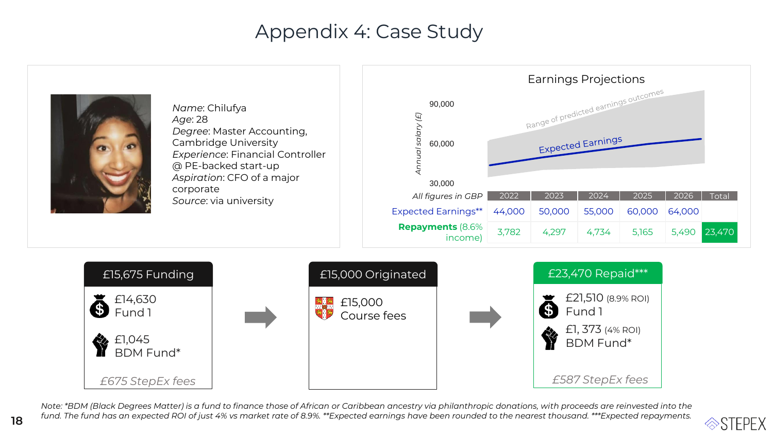## Appendix 4: Case Study



*Note: \*BDM (Black Degrees Matter) is a fund to finance those of African or Caribbean ancestry via philanthropic donations, with proceeds are reinvested into the fund. The fund has an expected ROI of just 4% vs market rate of 8.9%. \*\*Expected earnings have been rounded to the nearest thousand. \*\*\*Expected repayments.*

18